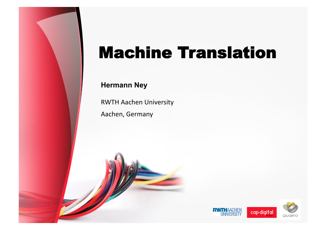# Machine Translation

#### **Hermann Ney**

RWTH Aachen University

Aachen, Germany

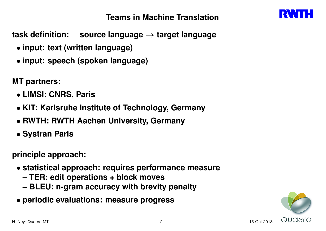**Teams in Machine Translation**



**task definition: source language** *→* **target language**

- *•* **input: text (written language)**
- *•* **input: speech (spoken language)**

**MT partners:**

- *•* **LIMSI: CNRS, Paris**
- *•* **KIT: Karlsruhe Institute of Technology, Germany**
- *•* **RWTH: RWTH Aachen University, Germany**
- *•* **Systran Paris**

**principle approach:**

- *•* **statistical approach: requires performance measure**
	- **TER: edit operations + block moves**
	- **BLEU: n-gram accuracy with brevity penalty**
- *•* **periodic evaluations: measure progress**

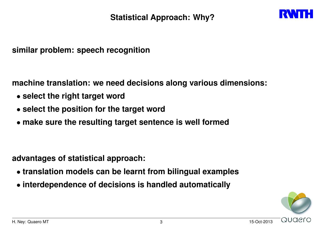

**similar problem: speech recognition**

**machine translation: we need decisions along various dimensions:**

- *•* **select the right target word**
- *•* **select the position for the target word**
- *•* **make sure the resulting target sentence is well formed**

**advantages of statistical approach:**

- *•* **translation models can be learnt from bilingual examples**
- *•* **interdependence of decisions is handled automatically**

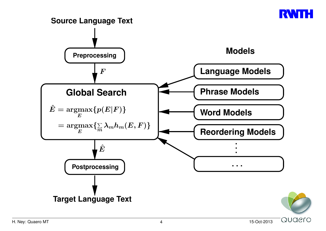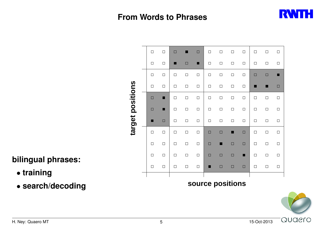## **From Words to Phrases**



|                  | $\Box$ | $\Box$ | $\Box$ |        | $\Box$ | $\Box$ | $\Box$ | $\Box$           | $\Box$ | $\Box$ | $\Box$ | $\Box$ |
|------------------|--------|--------|--------|--------|--------|--------|--------|------------------|--------|--------|--------|--------|
|                  | $\Box$ | $\Box$ | ٠      | $\Box$ | ■      | $\Box$ | $\Box$ | $\Box$           | $\Box$ | $\Box$ | $\Box$ | $\Box$ |
|                  | $\Box$ | $\Box$ | $\Box$ | $\Box$ | $\Box$ | $\Box$ | $\Box$ | $\Box$           | $\Box$ | $\Box$ | $\Box$ | ■      |
|                  | $\Box$ | $\Box$ | $\Box$ | $\Box$ | $\Box$ | $\Box$ | $\Box$ | $\Box$           | $\Box$ |        |        | $\Box$ |
|                  | $\Box$ | ■      | $\Box$ | $\Box$ | $\Box$ | $\Box$ | $\Box$ | $\Box$           | $\Box$ | $\Box$ | $\Box$ | $\Box$ |
|                  | $\Box$ | ■      | $\Box$ | $\Box$ | $\Box$ | $\Box$ | $\Box$ | $\Box$           | $\Box$ | $\Box$ | $\Box$ | $\Box$ |
| target positions | ٠      | $\Box$ | $\Box$ | $\Box$ | $\Box$ | $\Box$ | $\Box$ | $\Box$           | $\Box$ | $\Box$ | $\Box$ | $\Box$ |
|                  | $\Box$ | $\Box$ | $\Box$ | $\Box$ | $\Box$ | $\Box$ | $\Box$ | ■                | $\Box$ | $\Box$ | $\Box$ | $\Box$ |
|                  | $\Box$ | $\Box$ | $\Box$ | $\Box$ | $\Box$ | $\Box$ | ■      | $\Box$           | $\Box$ | $\Box$ | $\Box$ | $\Box$ |
|                  | $\Box$ | $\Box$ | $\Box$ | $\Box$ | $\Box$ | $\Box$ | $\Box$ | $\Box$           | ▁      | $\Box$ | $\Box$ | $\Box$ |
|                  | $\Box$ | $\Box$ | $\Box$ | $\Box$ | $\Box$ | П      | $\Box$ | $\Box$           | $\Box$ | $\Box$ | $\Box$ | $\Box$ |
|                  |        |        |        |        |        |        |        |                  |        |        |        |        |
|                  |        |        |        |        |        |        |        | source positions |        |        |        |        |
|                  |        |        |        |        |        |        |        |                  |        |        |        |        |

## **bilingual phrases:**

- *•* **training**
- *•* **search/decoding**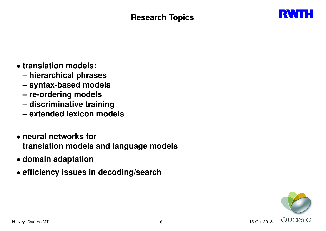

- *•* **translation models:**
	- **hierarchical phrases**
	- **syntax-based models**
	- **re-ordering models**
	- **discriminative training**
	- **extended lexicon models**
- *•* **neural networks for translation models and language models**
- *•* **domain adaptation**
- *•* **efficiency issues in decoding/search**

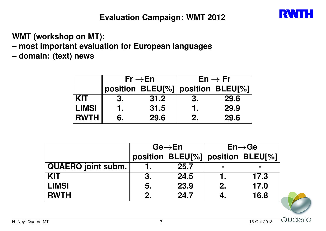**WMT (workshop on MT):**

**– most important evaluation for European languages**

**– domain: (text) news**

|              |    | $Fr \rightarrow En$               |    | $En \rightarrow Fr$ |
|--------------|----|-----------------------------------|----|---------------------|
|              |    | position BLEU[%] position BLEU[%] |    |                     |
| <b>KIT</b>   | 3. | 31.2                              | 3. | 29.6                |
| <b>LIMSI</b> |    | 31.5                              | 1. | 29.9                |
| <b>RWTH</b>  | 6. | 29.6                              | 2. | 29.6                |

|                           |    | $Ge \rightarrow En$               | $En \rightarrow Ge$ |                |  |  |  |
|---------------------------|----|-----------------------------------|---------------------|----------------|--|--|--|
|                           |    | position BLEU[%] position BLEU[%] |                     |                |  |  |  |
| <b>QUAERO</b> joint subm. |    | 25.7                              | <b>The Co</b>       | $\blacksquare$ |  |  |  |
| <b>KIT</b>                | 3. | 24.5                              |                     | 17.3           |  |  |  |
| <b>LIMSI</b>              | 5. | 23.9                              | 2.                  | 17.0           |  |  |  |
| <b>RWTH</b>               | 2. | 24.7                              | 4.                  | 16.8           |  |  |  |



Quaero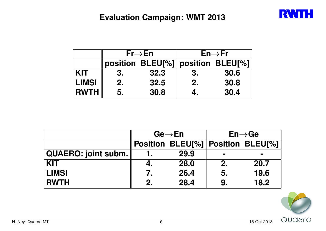## **Evaluation Campaign: WMT 2013**



|              |    | $Fr\rightarrow En$                | $En \rightarrow Fr$ |      |  |  |  |
|--------------|----|-----------------------------------|---------------------|------|--|--|--|
|              |    | position BLEU[%] position BLEU[%] |                     |      |  |  |  |
| <b>KIT</b>   | 3. | 32.3                              | -3.                 | 30.6 |  |  |  |
| <b>LIMSI</b> | 2. | 32.5                              | 2.                  | 30.8 |  |  |  |
| <b>RWTH</b>  | 5. | 30.8                              |                     | 30.4 |  |  |  |

|                     |    | $Ge \rightarrow En$               | $En \rightarrow Ge$ |                |  |  |  |
|---------------------|----|-----------------------------------|---------------------|----------------|--|--|--|
|                     |    | Position BLEU[%] Position BLEU[%] |                     |                |  |  |  |
| QUAERO: joint subm. |    | 29.9                              | <b>CONTRACT</b>     | $\blacksquare$ |  |  |  |
| <b>KIT</b>          | 4. | 28.0                              | 2.                  | 20.7           |  |  |  |
| <b>LIMSI</b>        | 7. | 26.4                              | 5.                  | 19.6           |  |  |  |
| <b>RWTH</b>         | 2. | 28.4                              | 9.                  | 18.2           |  |  |  |

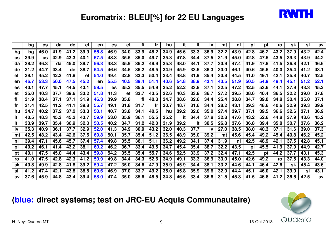

## **Euromatrix: BLEU[%] for 22 EU Languages**

|                        | bg   | <b>CS</b>              | da   | <b>de</b> | el   | en   | es   | et   | fi   | fr   | hu   | it.  | It.  | <u>Iv</u> | mt   | nl   | pl   | pt   | ro   | sk   | sl   | <b>SV</b> |
|------------------------|------|------------------------|------|-----------|------|------|------|------|------|------|------|------|------|-----------|------|------|------|------|------|------|------|-----------|
| bq                     | bg   | 46.0                   | 41.9 | 41.2      | 39.9 | 56.8 | 46.9 | 34.0 | 33.9 | 48.2 | 34.9 | 45.6 | 33.3 | 36.9      | 32.2 | 43.9 | 42.8 | 46.2 | 43.2 | 37.9 | 43.2 | 42.4      |
| $\mathbf{c}\mathbf{s}$ | 39.9 | $\mathbf{c}\mathbf{s}$ | 42.9 | 43.3      | 40.1 | 57.5 | 48.3 | 35.5 | 35.0 | 49.7 | 35.3 | 47.8 | 34.4 | 37.5      | 31.9 | 45.0 | 42.8 | 47.5 | 43.5 | 39.3 | 43.9 | 44.2      |
| da                     | 38.2 | 46.3                   | da   | 45.0      | 39.7 | 56.3 | 48.3 | 35.9 | 36.2 | 49.9 | 35.3 | 48.0 | 34.1 | 37.7      | 30.9 | 47.4 | 41.9 | 47.8 | 41.5 | 36.8 | 42.1 | 46.6      |
| de                     | 31.2 | 44.7                   | 43.4 | de        | 38.7 | 54.5 | 46.6 | 34.6 | 35.2 | 48.5 | 34.9 | 45.9 | 33.5 | 36.3      | 30.0 | 46.1 | 40.6 | 45.6 | 40.0 | 35.4 | 41.2 | 43.1      |
| el                     | 39.1 | 45.2                   | 42.3 | 41.8      | el   | 54.0 | 49.4 | 32.8 | 33.3 | 50.4 | 33.4 | 48.8 | 31.9 | 35.4      | 30.8 | 44.5 | 41.0 | 49.1 | 42.1 | 35.8 | 40.7 | 42.5      |
| en                     | 46.7 | 53.3                   | 50.0 | 47.5      | 45.2 | en   | 55.5 | 40.5 | 39.4 | 51.4 | 40.6 | 54.8 | 38.9 | 43.1      | 43.5 | 51.9 | 50.5 | 54.9 | 49.4 | 45.1 | 51.2 | 52.1      |
| es                     | 40.1 | 47.7                   | 45.1 | 44.5      | 43.1 | 59.5 | es   | 35.2 | 35.5 | 54.9 | 35.2 | 52.2 | 33.8 | 37.1      | 32.5 | 47.2 | 42.5 | 53.6 | 44.1 | 37.9 | 43.3 | 45.2      |
| et                     | 35.0 | 40.3                   | 37.7 | 39.6      | 33.2 | 51.8 | 41.3 | et   | 33.7 | 43.5 | 32.6 | 40.3 | 33.8 | 36.7      | 27.2 | 39.5 | 38.6 | 40.4 | 36.5 | 32.2 | 39.0 | 37.8      |
| fi                     | 31.9 | 38.4                   | 37.1 | 37.1      | 31.9 | 46.3 | 39.9 | 35.8 | fi   | 40.3 | 34.7 | 38.6 | 32.6 | 34.4      | 25.4 | 38.8 | 34.7 | 39.0 | 34.8 | 30.4 | 35.0 | 37.1      |
| fr                     | 31.4 | 42.5                   | 41.2 | 41.1      | 39.8 | 55.7 | 49.1 | 31.8 | 31.7 | fr   | 30.7 | 48.7 | 31.6 | 34.4      | 28.2 | 43.1 | 39.3 | 48.6 | 40.6 | 32.9 | 39.3 | 39.9      |
| hu                     | 34.7 | 40.2                   | 37.2 | 37.2      | 33.3 | 50.1 | 40.7 | 33.8 | 34.1 | 40.5 | hu   | 39.2 | 32.0 | 35.0      | 27.4 | 39.7 | 37.1 | 39.5 | 36.6 | 32.6 | 37.1 | 36.9      |
| it                     | 40.5 | 48.3                   | 45.3 | 45.2      | 43.7 | 59.9 | 53.0 | 35.9 | 36.1 | 55.5 | 35.2 | it   | 34.4 | 37.8      | 32.8 | 47.6 | 43.2 | 52.6 | 44.8 | 37.9 | 43.6 | 45.2      |
| It                     | 33.9 | 39.7                   | 35.4 | 36.9      | 32.0 | 50.5 | 40.2 | 34.7 | 31.2 | 42.0 | 31.9 | 39.2 | It   | 38.5      | 26.8 | 37.6 | 36.8 | 39.4 | 35.8 | 30.7 | 37.6 | 36.2      |
| lv                     | 35.3 | 40.9                   | 36.1 | 37.7      | 32.9 | 52.0 | 41.3 | 34.9 | 30.9 | 43.2 | 32.0 | 40.3 | 37.7 | Iv        | 27.0 | 38.5 | 38.0 | 40.3 | 37.1 | 31.6 | 39.0 | 37.3      |
| mt                     | 42.5 | 48.2                   | 43.4 | 42.6      | 37.5 | 69.8 | 50.1 | 35.7 | 35.4 | 51.2 | 36.5 | 48.9 | 35.0 | 39.2      | mt   | 45.6 | 45.4 | 49.2 | 45.4 | 40.8 | 46.2 | 45.2      |
| nl                     | 39.4 | 47.1                   | 45.6 | 45.7      | 37.4 | 57.4 | 49.8 | 35.5 | 36.1 | 51.1 | 36.2 | 49.2 | 34.1 | 37.4      | 31.9 | nl   | 42.5 | 48.9 | 42.1 | 37.5 | 42.8 | 45.1      |
| pl                     | 40.2 | 46.1                   | 41.4 | 43.2      | 38.1 | 60.2 | 46.2 | 36.7 | 33.4 | 49.5 | 34.7 | 45.4 | 35.4 | 38.7      | 32.2 | 43.5 | pl   | 45.5 | 41.9 | 37.9 | 44.9 | 42.7      |
| pt                     | 40.1 | 47.5                   | 45.0 | 44.4      | 43.4 | 59.8 | 54.2 | 35.5 | 35.4 | 55.7 | 34.6 | 52.5 | 33.9 | 37.2      | 32.4 | 47.1 | 42.5 | pt   | 44.2 | 37.7 | 43.1 | 45.3      |
| ro                     | 41.0 | 47.5                   | 42.8 | 42.3      | 41.2 | 59.9 | 49.8 | 34.4 | 34.3 | 52.6 | 34.9 | 49.1 | 33.3 | 36.9      | 33.0 | 45.0 | 42.6 | 49.2 | ro   | 37.5 | 43.3 | 44.0      |
| sk                     | 40.8 | 49.9                   | 42.8 | 41.8      | 39.2 | 59.4 | 47.2 | 35.0 | 34.6 | 47.9 | 35.9 | 45.9 | 34.4 | 38.1      | 33.2 | 44.6 | 44.1 | 46.4 | 42.6 | sk   | 45.4 | 43.6      |
| sl                     | 41.2 | 47.4                   | 42.1 | 43.8      | 38.5 | 60.6 | 46.9 | 37.0 | 33.7 | 49.2 | 35.0 | 45.8 | 35.9 | 39.6      | 32.9 | 44.4 | 45.1 | 46.0 | 42.1 | 39.0 | sl   | 43.1      |
| <b>SV</b>              | 37.6 | 45.9                   | 44.8 | 43.4      | 39.4 | 58.0 | 47.4 | 35.0 | 35.6 | 48.5 | 34.8 | 46.5 | 33.4 | 36.6      | 31.5 | 45.3 | 41.5 | 46.8 | 41.2 | 36.6 | 42.5 | <b>SV</b> |

## **(blue: direct systems; test on JRC-EU Acquis Communautaire)**

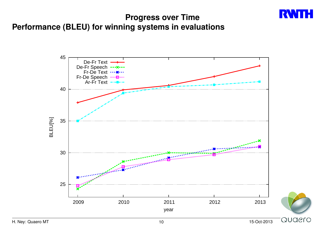### **Progress over Time Performance (BLEU) for winning systems in evaluations**

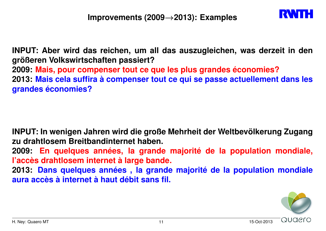

**INPUT: Aber wird das reichen, um all das auszugleichen, was derzeit in den größeren Volkswirtschaften passiert? 2009: Mais, pour compenser tout ce que les plus grandes économies? 2013: Mais cela suffira à compenser tout ce qui se passe actuellement dans les grandes économies?**

**INPUT: In wenigen Jahren wird die große Mehrheit der Weltbevölkerung Zugang zu drahtlosem Breitbandinternet haben.**

**2009: En quelques années, la grande majorité de la population mondiale, l'accès drahtlosem internet à large bande.**

**2013: Dans quelques années , la grande majorité de la population mondiale aura accès à internet à haut débit sans fil.**

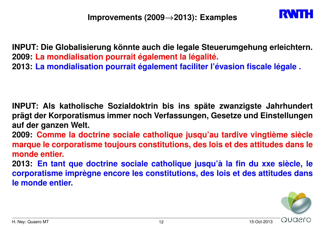

**INPUT: Die Globalisierung könnte auch die legale Steuerumgehung erleichtern. 2009: La mondialisation pourrait également la légalité. 2013: La mondialisation pourrait également faciliter l'évasion fiscale légale .**

**INPUT: Als katholische Sozialdoktrin bis ins späte zwanzigste Jahrhundert prägt der Korporatismus immer noch Verfassungen, Gesetze und Einstellungen auf der ganzen Welt.**

**2009: Comme la doctrine sociale catholique jusqu'au tardive vingtième siècle marque le corporatisme toujours constitutions, des lois et des attitudes dans le monde entier.**

**2013: En tant que doctrine sociale catholique jusqu'à la fin du xxe siècle, le corporatisme imprègne encore les constitutions, des lois et des attitudes dans le monde entier.**

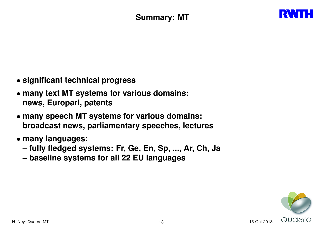

- *•* **significant technical progress**
- *•* **many text MT systems for various domains: news, Europarl, patents**
- *•* **many speech MT systems for various domains: broadcast news, parliamentary speeches, lectures**
- *•* **many languages:**
	- **fully fledged systems: Fr, Ge, En, Sp, ..., Ar, Ch, Ja**
	- **baseline systems for all 22 EU languages**